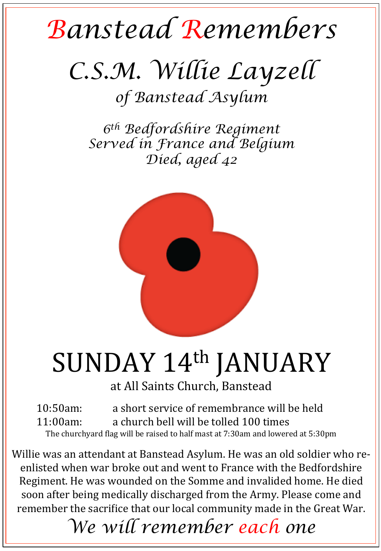## *Banstead Remembers*

## *C.S.M. Willie Layzell*

*of Banstead Asylum*

*6th Bedfordshire Regiment Served in France and Belgium Died, aged 42* 



## SUNDAY 14th JANUARY

at All Saints Church, Banstead

10:50am: a short service of remembrance will be held 11:00am: a church bell will be tolled 100 times The churchyard flag will be raised to half mast at 7:30am and lowered at 5:30pm

Willie was an attendant at Banstead Asylum. He was an old soldier who reenlisted when war broke out and went to France with the Bedfordshire Regiment. He was wounded on the Somme and invalided home. He died soon after being medically discharged from the Army. Please come and remember the sacrifice that our local community made in the Great War.

*We will remember each one*